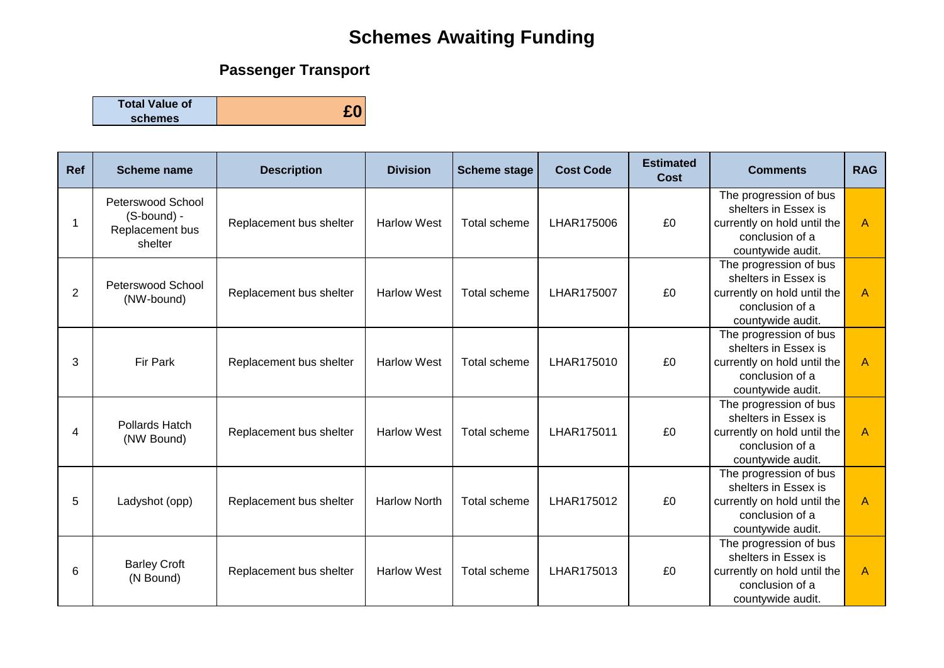## **Schemes Awaiting Funding**

## **Passenger Transport**

**Total Value of schemes £0**

| Ref            | <b>Scheme name</b>                                             | <b>Description</b>      | <b>Division</b>     | <b>Scheme stage</b> | <b>Cost Code</b> | <b>Estimated</b><br>Cost | <b>Comments</b>                                                                                                       | <b>RAG</b> |
|----------------|----------------------------------------------------------------|-------------------------|---------------------|---------------------|------------------|--------------------------|-----------------------------------------------------------------------------------------------------------------------|------------|
|                | Peterswood School<br>(S-bound) -<br>Replacement bus<br>shelter | Replacement bus shelter | <b>Harlow West</b>  | Total scheme        | LHAR175006       | £0                       | The progression of bus<br>shelters in Essex is<br>currently on hold until the<br>conclusion of a<br>countywide audit. | A          |
| $\overline{2}$ | Peterswood School<br>(NW-bound)                                | Replacement bus shelter | <b>Harlow West</b>  | Total scheme        | LHAR175007       | £0                       | The progression of bus<br>shelters in Essex is<br>currently on hold until the<br>conclusion of a<br>countywide audit. | A          |
| 3              | Fir Park                                                       | Replacement bus shelter | <b>Harlow West</b>  | Total scheme        | LHAR175010       | £0                       | The progression of bus<br>shelters in Essex is<br>currently on hold until the<br>conclusion of a<br>countywide audit. | A          |
| 4              | Pollards Hatch<br>(NW Bound)                                   | Replacement bus shelter | <b>Harlow West</b>  | Total scheme        | LHAR175011       | £0                       | The progression of bus<br>shelters in Essex is<br>currently on hold until the<br>conclusion of a<br>countywide audit. | A          |
| 5              | Ladyshot (opp)                                                 | Replacement bus shelter | <b>Harlow North</b> | Total scheme        | LHAR175012       | £0                       | The progression of bus<br>shelters in Essex is<br>currently on hold until the<br>conclusion of a<br>countywide audit. | A          |
| 6              | <b>Barley Croft</b><br>(N Bound)                               | Replacement bus shelter | <b>Harlow West</b>  | Total scheme        | LHAR175013       | £0                       | The progression of bus<br>shelters in Essex is<br>currently on hold until the<br>conclusion of a<br>countywide audit. | A          |